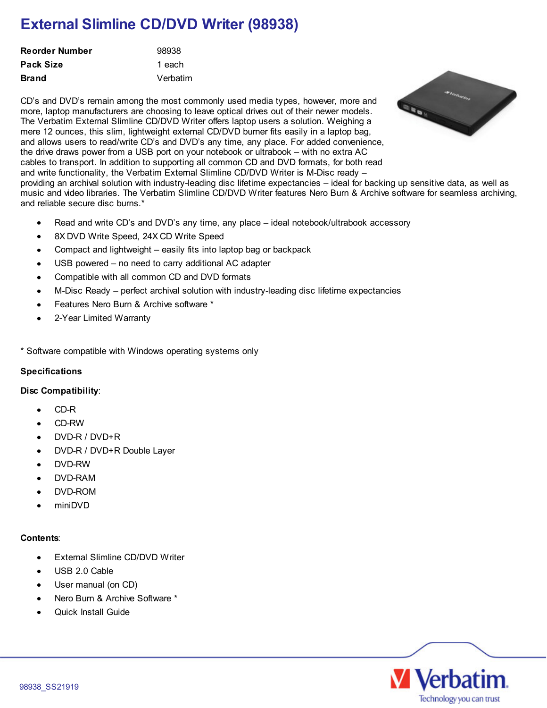# **External Slimline CD/DVD Writer (98938)**

| Reorder Number | 98938    |
|----------------|----------|
| Pack Size      | 1 each   |
| Brand          | Verbatim |

CD's and DVD's remain among the most commonly used media types, however, more and B more, laptop manufacturers are choosing to leave optical drives out of their newer models. The Verbatim External Slimline CD/DVD Writer offers laptop users a solution. Weighing a mere 12 ounces, this slim, lightweight external CD/DVD burner fits easily in a laptop bag, and allows users to read/write CD's and DVD's any time, any place. For added convenience, the drive draws power from a USB port on your notebook or ultrabook – with no extra AC cables to transport. In addition to supporting all common CD and DVD formats, for both read and write functionality, the Verbatim External Slimline CD/DVD Writer is M-Disc ready – providing an archival solution with industry-leading disc lifetime expectancies – ideal for backing up sensitive data, as well as music and video libraries. The Verbatim Slimline CD/DVD Writer features Nero Burn & Archive software for seamless archiving, and reliable secure disc burns.\*

- Read and write CD's and DVD's any time, any place ideal notebook/ultrabook accessory
- 8X DVD Write Speed, 24X CD Write Speed
- Compact and lightweight easily fits into laptop bag or backpack
- USB powered no need to carry additional AC adapter  $\bullet$
- Compatible with all common CD and DVD formats  $\bullet$
- M-Disc Ready perfect archival solution with industry-leading disc lifetime expectancies  $\bullet$
- Features Nero Burn & Archive software \*
- 2-Year Limited Warranty

\* Software compatible with Windows operating systems only

# **Specifications**

### **Disc Compatibility**:

- CD-R
- CD-RW
- DVD-R / DVD+R
- DVD-R / DVD+R Double Layer
- DVD-RW
- DVD-RAM  $\bullet$
- DVD-ROM
- miniDVD

# **Contents**:

- External Slimline CD/DVD Writer
- USB 2.0 Cable
- User manual (on CD)
- Nero Burn & Archive Software \*  $\bullet$
- Quick Install Guide